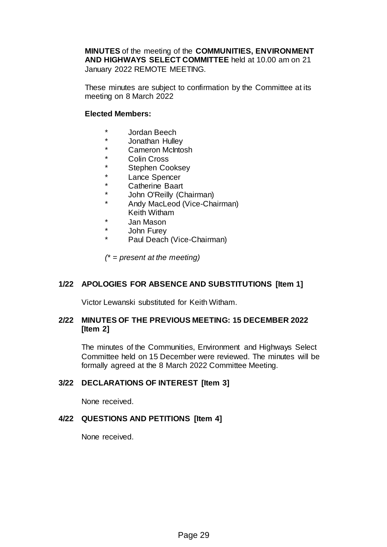**MINUTES** of the meeting of the **COMMUNITIES, ENVIRONMENT AND HIGHWAYS SELECT COMMITTEE** held at 10.00 am on 21 January 2022 REMOTE MEETING.

These minutes are subject to confirmation by the Committee at its meeting on 8 March 2022

# **Elected Members:**

- \* Jordan Beech<br>\* Jorsthan Hulle
- \* Jonathan Hulley
- \* Cameron McIntosh
- \* Colin Cross
- \* Stephen Cooksey
- \* Lance Spencer
- Catherine Baart
- \* John O'Reilly (Chairman)
- Andy MacLeod (Vice-Chairman)
- Keith Witham
- \* Jan Mason
- \* John Furey
- Paul Deach (Vice-Chairman)

*(\* = present at the meeting)*

# **1/22 APOLOGIES FOR ABSENCE AND SUBSTITUTIONS [Item 1]**

Victor Lewanski substituted for Keith Witham.

## **2/22 MINUTES OF THE PREVIOUS MEETING: 15 DECEMBER 2022 [Item 2]**

The minutes of the Communities, Environment and Highways Select Committee held on 15 December were reviewed. The minutes will be formally agreed at the 8 March 2022 Committee Meeting.

# **3/22 DECLARATIONS OF INTEREST [Item 3]**

None received.

# **4/22 QUESTIONS AND PETITIONS [Item 4]**

None received.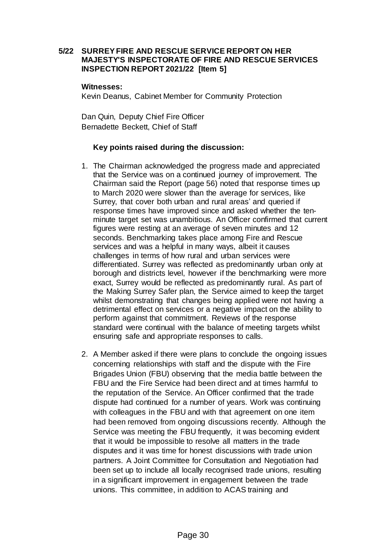# **5/22 SURREY FIRE AND RESCUE SERVICE REPORT ON HER MAJESTY'S INSPECTORATE OF FIRE AND RESCUE SERVICES INSPECTION REPORT 2021/22 [Item 5]**

#### **Witnesses:**

Kevin Deanus, Cabinet Member for Community Protection

Dan Quin, Deputy Chief Fire Officer Bernadette Beckett, Chief of Staff

## **Key points raised during the discussion:**

- 1. The Chairman acknowledged the progress made and appreciated that the Service was on a continued journey of improvement. The Chairman said the Report (page 56) noted that response times up to March 2020 were slower than the average for services, like Surrey, that cover both urban and rural areas' and queried if response times have improved since and asked whether the tenminute target set was unambitious. An Officer confirmed that current figures were resting at an average of seven minutes and 12 seconds. Benchmarking takes place among Fire and Rescue services and was a helpful in many ways, albeit it causes challenges in terms of how rural and urban services were differentiated. Surrey was reflected as predominantly urban only at borough and districts level, however if the benchmarking were more exact, Surrey would be reflected as predominantly rural. As part of the Making Surrey Safer plan, the Service aimed to keep the target whilst demonstrating that changes being applied were not having a detrimental effect on services or a negative impact on the ability to perform against that commitment. Reviews of the response standard were continual with the balance of meeting targets whilst ensuring safe and appropriate responses to calls.
- 2. A Member asked if there were plans to conclude the ongoing issues concerning relationships with staff and the dispute with the Fire Brigades Union (FBU) observing that the media battle between the FBU and the Fire Service had been direct and at times harmful to the reputation of the Service. An Officer confirmed that the trade dispute had continued for a number of years. Work was continuing with colleagues in the FBU and with that agreement on one item had been removed from ongoing discussions recently. Although the Service was meeting the FBU frequently, it was becoming evident that it would be impossible to resolve all matters in the trade disputes and it was time for honest discussions with trade union partners. A Joint Committee for Consultation and Negotiation had been set up to include all locally recognised trade unions, resulting in a significant improvement in engagement between the trade unions. This committee, in addition to ACAS training and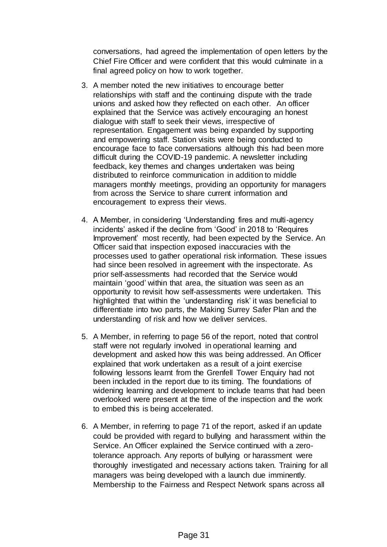conversations, had agreed the implementation of open letters by the Chief Fire Officer and were confident that this would culminate in a final agreed policy on how to work together.

- 3. A member noted the new initiatives to encourage better relationships with staff and the continuing dispute with the trade unions and asked how they reflected on each other. An officer explained that the Service was actively encouraging an honest dialogue with staff to seek their views, irrespective of representation. Engagement was being expanded by supporting and empowering staff. Station visits were being conducted to encourage face to face conversations although this had been more difficult during the COVID-19 pandemic. A newsletter including feedback, key themes and changes undertaken was being distributed to reinforce communication in addition to middle managers monthly meetings, providing an opportunity for managers from across the Service to share current information and encouragement to express their views.
- 4. A Member, in considering 'Understanding fires and multi-agency incidents' asked if the decline from 'Good' in 2018 to 'Requires Improvement' most recently, had been expected by the Service. An Officer said that inspection exposed inaccuracies with the processes used to gather operational risk information. These issues had since been resolved in agreement with the inspectorate. As prior self-assessments had recorded that the Service would maintain 'good' within that area, the situation was seen as an opportunity to revisit how self-assessments were undertaken. This highlighted that within the 'understanding risk' it was beneficial to differentiate into two parts, the Making Surrey Safer Plan and the understanding of risk and how we deliver services.
- 5. A Member, in referring to page 56 of the report, noted that control staff were not regularly involved in operational learning and development and asked how this was being addressed. An Officer explained that work undertaken as a result of a joint exercise following lessons learnt from the Grenfell Tower Enquiry had not been included in the report due to its timing. The foundations of widening learning and development to include teams that had been overlooked were present at the time of the inspection and the work to embed this is being accelerated.
- 6. A Member, in referring to page 71 of the report, asked if an update could be provided with regard to bullying and harassment within the Service. An Officer explained the Service continued with a zerotolerance approach. Any reports of bullying or harassment were thoroughly investigated and necessary actions taken. Training for all managers was being developed with a launch due imminently. Membership to the Fairness and Respect Network spans across all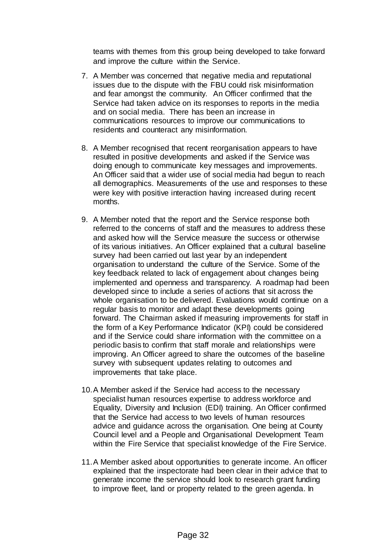teams with themes from this group being developed to take forward and improve the culture within the Service.

- 7. A Member was concerned that negative media and reputational issues due to the dispute with the FBU could risk misinformation and fear amongst the community. An Officer confirmed that the Service had taken advice on its responses to reports in the media and on social media. There has been an increase in communications resources to improve our communications to residents and counteract any misinformation.
- 8. A Member recognised that recent reorganisation appears to have resulted in positive developments and asked if the Service was doing enough to communicate key messages and improvements. An Officer said that a wider use of social media had begun to reach all demographics. Measurements of the use and responses to these were key with positive interaction having increased during recent months.
- 9. A Member noted that the report and the Service response both referred to the concerns of staff and the measures to address these and asked how will the Service measure the success or otherwise of its various initiatives. An Officer explained that a cultural baseline survey had been carried out last year by an independent organisation to understand the culture of the Service. Some of the key feedback related to lack of engagement about changes being implemented and openness and transparency. A roadmap had been developed since to include a series of actions that sit across the whole organisation to be delivered. Evaluations would continue on a regular basis to monitor and adapt these developments going forward. The Chairman asked if measuring improvements for staff in the form of a Key Performance Indicator (KPI) could be considered and if the Service could share information with the committee on a periodic basis to confirm that staff morale and relationships were improving. An Officer agreed to share the outcomes of the baseline survey with subsequent updates relating to outcomes and improvements that take place.
- 10.A Member asked if the Service had access to the necessary specialist human resources expertise to address workforce and Equality, Diversity and Inclusion (EDI) training. An Officer confirmed that the Service had access to two levels of human resources advice and guidance across the organisation. One being at County Council level and a People and Organisational Development Team within the Fire Service that specialist knowledge of the Fire Service.
- 11.A Member asked about opportunities to generate income. An officer explained that the inspectorate had been clear in their advice that to generate income the service should look to research grant funding to improve fleet, land or property related to the green agenda. In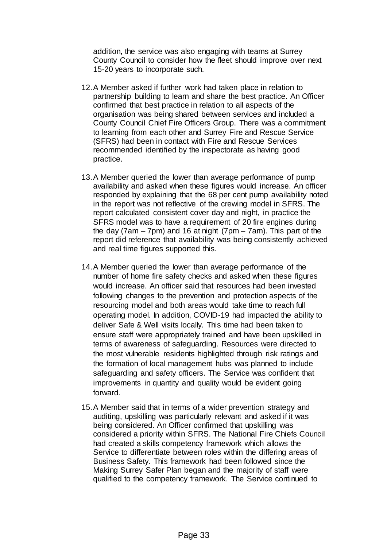addition, the service was also engaging with teams at Surrey County Council to consider how the fleet should improve over next 15-20 years to incorporate such.

- 12.A Member asked if further work had taken place in relation to partnership building to learn and share the best practice. An Officer confirmed that best practice in relation to all aspects of the organisation was being shared between services and included a County Council Chief Fire Officers Group. There was a commitment to learning from each other and Surrey Fire and Rescue Service (SFRS) had been in contact with Fire and Rescue Services recommended identified by the inspectorate as having good practice.
- 13.A Member queried the lower than average performance of pump availability and asked when these figures would increase. An officer responded by explaining that the 68 per cent pump availability noted in the report was not reflective of the crewing model in SFRS. The report calculated consistent cover day and night, in practice the SFRS model was to have a requirement of 20 fire engines during the day (7am – 7pm) and 16 at night (7pm – 7am). This part of the report did reference that availability was being consistently achieved and real time figures supported this.
- 14.A Member queried the lower than average performance of the number of home fire safety checks and asked when these figures would increase. An officer said that resources had been invested following changes to the prevention and protection aspects of the resourcing model and both areas would take time to reach full operating model. In addition, COVID-19 had impacted the ability to deliver Safe & Well visits locally. This time had been taken to ensure staff were appropriately trained and have been upskilled in terms of awareness of safeguarding. Resources were directed to the most vulnerable residents highlighted through risk ratings and the formation of local management hubs was planned to include safeguarding and safety officers. The Service was confident that improvements in quantity and quality would be evident going forward.
- 15.A Member said that in terms of a wider prevention strategy and auditing, upskilling was particularly relevant and asked if it was being considered. An Officer confirmed that upskilling was considered a priority within SFRS. The National Fire Chiefs Council had created a skills competency framework which allows the Service to differentiate between roles within the differing areas of Business Safety. This framework had been followed since the Making Surrey Safer Plan began and the majority of staff were qualified to the competency framework. The Service continued to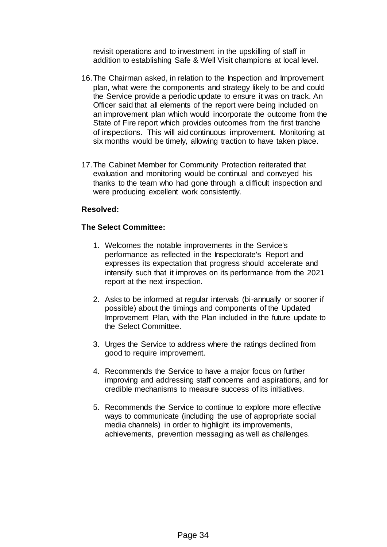revisit operations and to investment in the upskilling of staff in addition to establishing Safe & Well Visit champions at local level.

- 16.The Chairman asked, in relation to the Inspection and Improvement plan, what were the components and strategy likely to be and could the Service provide a periodic update to ensure it was on track. An Officer said that all elements of the report were being included on an improvement plan which would incorporate the outcome from the State of Fire report which provides outcomes from the first tranche of inspections. This will aid continuous improvement. Monitoring at six months would be timely, allowing traction to have taken place.
- 17.The Cabinet Member for Community Protection reiterated that evaluation and monitoring would be continual and conveyed his thanks to the team who had gone through a difficult inspection and were producing excellent work consistently.

# **Resolved:**

## **The Select Committee:**

- 1. Welcomes the notable improvements in the Service's performance as reflected in the Inspectorate's Report and expresses its expectation that progress should accelerate and intensify such that it improves on its performance from the 2021 report at the next inspection.
- 2. Asks to be informed at regular intervals (bi-annually or sooner if possible) about the timings and components of the Updated Improvement Plan, with the Plan included in the future update to the Select Committee.
- 3. Urges the Service to address where the ratings declined from good to require improvement.
- 4. Recommends the Service to have a major focus on further improving and addressing staff concerns and aspirations, and for credible mechanisms to measure success of its initiatives.
- 5. Recommends the Service to continue to explore more effective ways to communicate (including the use of appropriate social media channels) in order to highlight its improvements, achievements, prevention messaging as well as challenges.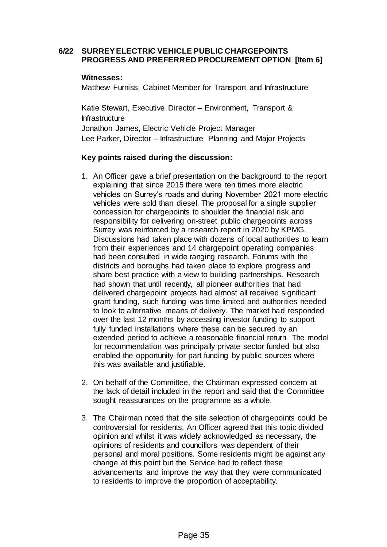### **6/22 SURREY ELECTRIC VEHICLE PUBLIC CHARGEPOINTS PROGRESS AND PREFERRED PROCUREMENT OPTION [Item 6]**

#### **Witnesses:**

Matthew Furniss, Cabinet Member for Transport and Infrastructure

Katie Stewart, Executive Director – Environment, Transport & **Infrastructure** Jonathon James, Electric Vehicle Project Manager Lee Parker, Director – Infrastructure Planning and Major Projects

## **Key points raised during the discussion:**

- 1. An Officer gave a brief presentation on the background to the report explaining that since 2015 there were ten times more electric vehicles on Surrey's roads and during November 2021 more electric vehicles were sold than diesel. The proposal for a single supplier concession for chargepoints to shoulder the financial risk and responsibility for delivering on-street public chargepoints across Surrey was reinforced by a research report in 2020 by KPMG. Discussions had taken place with dozens of local authorities to learn from their experiences and 14 chargepoint operating companies had been consulted in wide ranging research. Forums with the districts and boroughs had taken place to explore progress and share best practice with a view to building partnerships. Research had shown that until recently, all pioneer authorities that had delivered chargepoint projects had almost all received significant grant funding, such funding was time limited and authorities needed to look to alternative means of delivery. The market had responded over the last 12 months by accessing investor funding to support fully funded installations where these can be secured by an extended period to achieve a reasonable financial return. The model for recommendation was principally private sector funded but also enabled the opportunity for part funding by public sources where this was available and justifiable.
- 2. On behalf of the Committee, the Chairman expressed concern at the lack of detail included in the report and said that the Committee sought reassurances on the programme as a whole.
- 3. The Chairman noted that the site selection of chargepoints could be controversial for residents. An Officer agreed that this topic divided opinion and whilst it was widely acknowledged as necessary, the opinions of residents and councillors was dependent of their personal and moral positions. Some residents might be against any change at this point but the Service had to reflect these advancements and improve the way that they were communicated to residents to improve the proportion of acceptability.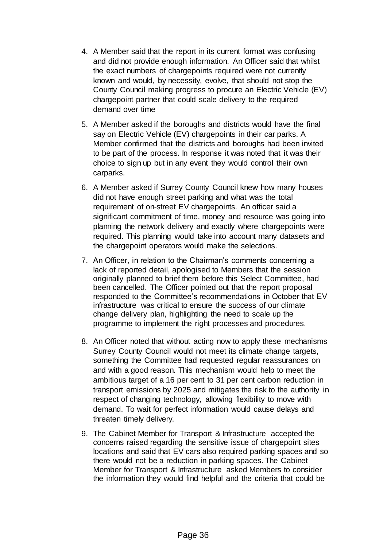- 4. A Member said that the report in its current format was confusing and did not provide enough information. An Officer said that whilst the exact numbers of chargepoints required were not currently known and would, by necessity, evolve, that should not stop the County Council making progress to procure an Electric Vehicle (EV) chargepoint partner that could scale delivery to the required demand over time
- 5. A Member asked if the boroughs and districts would have the final say on Electric Vehicle (EV) chargepoints in their car parks. A Member confirmed that the districts and boroughs had been invited to be part of the process. In response it was noted that it was their choice to sign up but in any event they would control their own carparks.
- 6. A Member asked if Surrey County Council knew how many houses did not have enough street parking and what was the total requirement of on-street EV chargepoints. An officer said a significant commitment of time, money and resource was going into planning the network delivery and exactly where chargepoints were required. This planning would take into account many datasets and the chargepoint operators would make the selections.
- 7. An Officer, in relation to the Chairman's comments concerning a lack of reported detail, apologised to Members that the session originally planned to brief them before this Select Committee, had been cancelled. The Officer pointed out that the report proposal responded to the Committee's recommendations in October that EV infrastructure was critical to ensure the success of our climate change delivery plan, highlighting the need to scale up the programme to implement the right processes and procedures.
- 8. An Officer noted that without acting now to apply these mechanisms Surrey County Council would not meet its climate change targets, something the Committee had requested regular reassurances on and with a good reason. This mechanism would help to meet the ambitious target of a 16 per cent to 31 per cent carbon reduction in transport emissions by 2025 and mitigates the risk to the authority in respect of changing technology, allowing flexibility to move with demand. To wait for perfect information would cause delays and threaten timely delivery.
- 9. The Cabinet Member for Transport & Infrastructure accepted the concerns raised regarding the sensitive issue of chargepoint sites locations and said that EV cars also required parking spaces and so there would not be a reduction in parking spaces. The Cabinet Member for Transport & Infrastructure asked Members to consider the information they would find helpful and the criteria that could be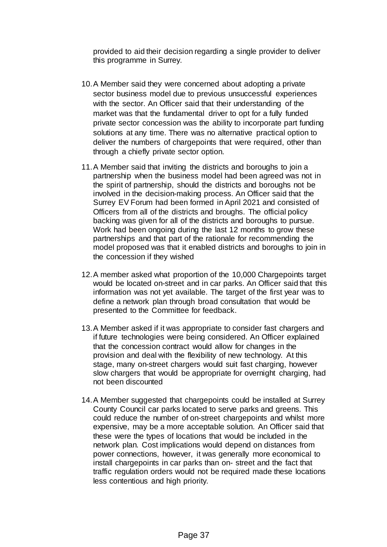provided to aid their decision regarding a single provider to deliver this programme in Surrey.

- 10.A Member said they were concerned about adopting a private sector business model due to previous unsuccessful experiences with the sector. An Officer said that their understanding of the market was that the fundamental driver to opt for a fully funded private sector concession was the ability to incorporate part funding solutions at any time. There was no alternative practical option to deliver the numbers of chargepoints that were required, other than through a chiefly private sector option.
- 11.A Member said that inviting the districts and boroughs to join a partnership when the business model had been agreed was not in the spirit of partnership, should the districts and boroughs not be involved in the decision-making process. An Officer said that the Surrey EV Forum had been formed in April 2021 and consisted of Officers from all of the districts and broughs. The official policy backing was given for all of the districts and boroughs to pursue. Work had been ongoing during the last 12 months to grow these partnerships and that part of the rationale for recommending the model proposed was that it enabled districts and boroughs to join in the concession if they wished
- 12.A member asked what proportion of the 10,000 Chargepoints target would be located on-street and in car parks. An Officer said that this information was not yet available. The target of the first year was to define a network plan through broad consultation that would be presented to the Committee for feedback.
- 13.A Member asked if it was appropriate to consider fast chargers and if future technologies were being considered. An Officer explained that the concession contract would allow for changes in the provision and deal with the flexibility of new technology. At this stage, many on-street chargers would suit fast charging, however slow chargers that would be appropriate for overnight charging, had not been discounted
- 14.A Member suggested that chargepoints could be installed at Surrey County Council car parks located to serve parks and greens. This could reduce the number of on-street chargepoints and whilst more expensive, may be a more acceptable solution. An Officer said that these were the types of locations that would be included in the network plan. Cost implications would depend on distances from power connections, however, it was generally more economical to install chargepoints in car parks than on- street and the fact that traffic regulation orders would not be required made these locations less contentious and high priority.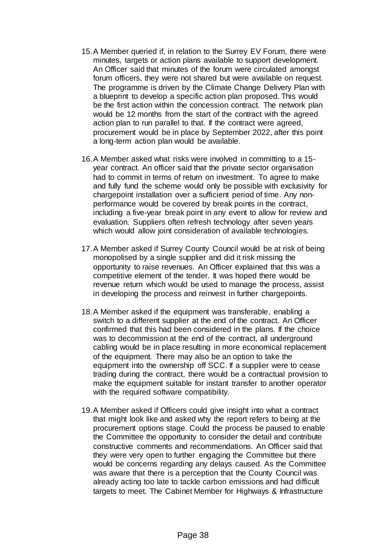- 15.A Member queried if, in relation to the Surrey EV Forum, there were minutes, targets or action plans available to support development. An Officer said that minutes of the forum were circulated amongst forum officers, they were not shared but were available on request. The programme is driven by the Climate Change Delivery Plan with a blueprint to develop a specific action plan proposed. This would be the first action within the concession contract. The network plan would be 12 months from the start of the contract with the agreed action plan to run parallel to that. If the contract were agreed, procurement would be in place by September 2022, after this point a long-term action plan would be available.
- 16.A Member asked what risks were involved in committing to a 15 year contract. An officer said that the private sector organisation had to commit in terms of return on investment. To agree to make and fully fund the scheme would only be possible with exclusivity for chargepoint installation over a sufficient period of time. Any nonperformance would be covered by break points in the contract, including a five-year break point in any event to allow for review and evaluation. Suppliers often refresh technology after seven years which would allow joint consideration of available technologies.
- 17.A Member asked if Surrey County Council would be at risk of being monopolised by a single supplier and did it risk missing the opportunity to raise revenues. An Officer explained that this was a competitive element of the tender. It was hoped there would be revenue return which would be used to manage the process, assist in developing the process and reinvest in further chargepoints.
- 18.A Member asked if the equipment was transferable, enabling a switch to a different supplier at the end of the contract. An Officer confirmed that this had been considered in the plans. If the choice was to decommission at the end of the contract, all underground cabling would be in place resulting in more economical replacement of the equipment. There may also be an option to take the equipment into the ownership off SCC. If a supplier were to cease trading during the contract, there would be a contractual provision to make the equipment suitable for instant transfer to another operator with the required software compatibility.
- 19.A Member asked if Officers could give insight into what a contract that might look like and asked why the report refers to being at the procurement options stage. Could the process be paused to enable the Committee the opportunity to consider the detail and contribute constructive comments and recommendations. An Officer said that they were very open to further engaging the Committee but there would be concerns regarding any delays caused. As the Committee was aware that there is a perception that the County Council was already acting too late to tackle carbon emissions and had difficult targets to meet. The Cabinet Member for Highways & Infrastructure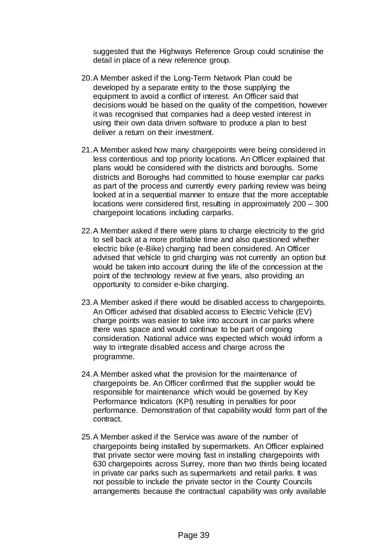suggested that the Highways Reference Group could scrutinise the detail in place of a new reference group.

- 20.A Member asked if the Long-Term Network Plan could be developed by a separate entity to the those supplying the equipment to avoid a conflict of interest. An Officer said that decisions would be based on the quality of the competition, however it was recognised that companies had a deep vested interest in using their own data driven software to produce a plan to best deliver a return on their investment.
- 21.A Member asked how many chargepoints were being considered in less contentious and top priority locations. An Officer explained that plans would be considered with the districts and boroughs. Some districts and Boroughs had committed to house exemplar car parks as part of the process and currently every parking review was being looked at in a sequential manner to ensure that the more acceptable locations were considered first, resulting in approximately 200 – 300 chargepoint locations including carparks.
- 22.A Member asked if there were plans to charge electricity to the grid to sell back at a more profitable time and also questioned whether electric bike (e-Bike) charging had been considered. An Officer advised that vehicle to grid charging was not currently an option but would be taken into account during the life of the concession at the point of the technology review at five years, also providing an opportunity to consider e-bike charging.
- 23.A Member asked if there would be disabled access to chargepoints. An Officer advised that disabled access to Electric Vehicle (EV) charge points was easier to take into account in car parks where there was space and would continue to be part of ongoing consideration. National advice was expected which would inform a way to integrate disabled access and charge across the programme.
- 24.A Member asked what the provision for the maintenance of chargepoints be. An Officer confirmed that the supplier would be responsible for maintenance which would be governed by Key Performance Indicators (KPI) resulting in penalties for poor performance. Demonstration of that capability would form part of the contract.
- 25.A Member asked if the Service was aware of the number of chargepoints being installed by supermarkets. An Officer explained that private sector were moving fast in installing chargepoints with 630 chargepoints across Surrey, more than two thirds being located in private car parks such as supermarkets and retail parks. It was not possible to include the private sector in the County Councils arrangements because the contractual capability was only available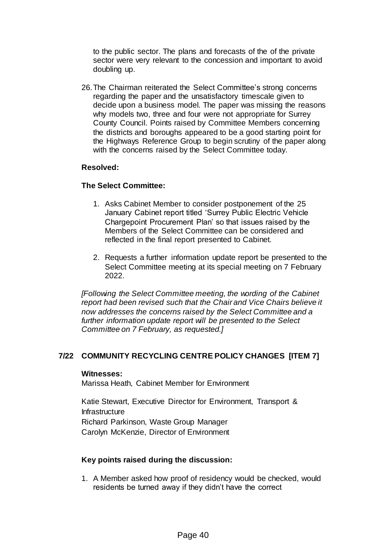to the public sector. The plans and forecasts of the of the private sector were very relevant to the concession and important to avoid doubling up.

26.The Chairman reiterated the Select Committee's strong concerns regarding the paper and the unsatisfactory timescale given to decide upon a business model. The paper was missing the reasons why models two, three and four were not appropriate for Surrey County Council. Points raised by Committee Members concerning the districts and boroughs appeared to be a good starting point for the Highways Reference Group to begin scrutiny of the paper along with the concerns raised by the Select Committee today.

## **Resolved:**

## **The Select Committee:**

- 1. Asks Cabinet Member to consider postponement of the 25 January Cabinet report titled 'Surrey Public Electric Vehicle Chargepoint Procurement Plan' so that issues raised by the Members of the Select Committee can be considered and reflected in the final report presented to Cabinet.
- 2. Requests a further information update report be presented to the Select Committee meeting at its special meeting on 7 February 2022.

*[Following the Select Committee meeting, the wording of the Cabinet report had been revised such that the Chair and Vice Chairs believe it now addresses the concerns raised by the Select Committee and a further information update report will be presented to the Select Committee on 7 February, as requested.]*

## **7/22 COMMUNITY RECYCLING CENTRE POLICY CHANGES [ITEM 7]**

#### **Witnesses:**

Marissa Heath, Cabinet Member for Environment

Katie Stewart, Executive Director for Environment, Transport & Infrastructure Richard Parkinson, Waste Group Manager Carolyn McKenzie, Director of Environment

## **Key points raised during the discussion:**

1. A Member asked how proof of residency would be checked, would residents be turned away if they didn't have the correct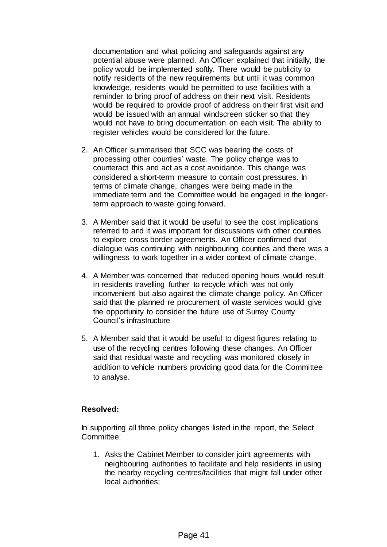documentation and what policing and safeguards against any potential abuse were planned. An Officer explained that initially, the policy would be implemented softly. There would be publicity to notify residents of the new requirements but until it was common knowledge, residents would be permitted to use facilities with a reminder to bring proof of address on their next visit. Residents would be required to provide proof of address on their first visit and would be issued with an annual windscreen sticker so that they would not have to bring documentation on each visit. The ability to register vehicles would be considered for the future.

- 2. An Officer summarised that SCC was bearing the costs of processing other counties' waste. The policy change was to counteract this and act as a cost avoidance. This change was considered a short-term measure to contain cost pressures. In terms of climate change, changes were being made in the immediate term and the Committee would be engaged in the longerterm approach to waste going forward.
- 3. A Member said that it would be useful to see the cost implications referred to and it was important for discussions with other counties to explore cross border agreements. An Officer confirmed that dialogue was continuing with neighbouring counties and there was a willingness to work together in a wider context of climate change.
- 4. A Member was concerned that reduced opening hours would result in residents travelling further to recycle which was not only inconvenient but also against the climate change policy. An Officer said that the planned re procurement of waste services would give the opportunity to consider the future use of Surrey County Council's infrastructure
- 5. A Member said that it would be useful to digest figures relating to use of the recycling centres following these changes. An Officer said that residual waste and recycling was monitored closely in addition to vehicle numbers providing good data for the Committee to analyse.

# **Resolved:**

In supporting all three policy changes listed in the report, the Select Committee:

1. Asks the Cabinet Member to consider joint agreements with neighbouring authorities to facilitate and help residents in using the nearby recycling centres/facilities that might fall under other local authorities;